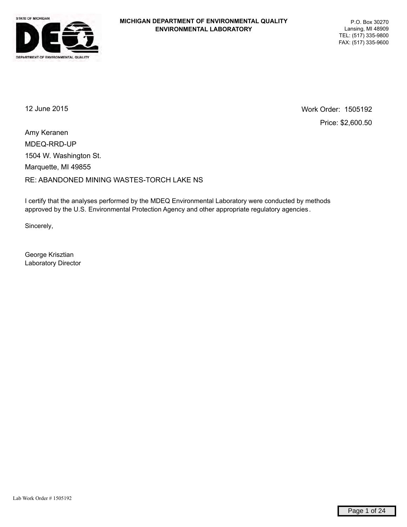

12 June 2015 Work Order: 1505192 Price: \$2,600.50

MDEQ-RRD-UP RE: ABANDONED MINING WASTES-TORCH LAKE NS Marquette, MI 49855 1504 W. Washington St. Amy Keranen

I certify that the analyses performed by the MDEQ Environmental Laboratory were conducted by methods approved by the U.S. Environmental Protection Agency and other appropriate regulatory agencies .

Sincerely,

George Krisztian Laboratory Director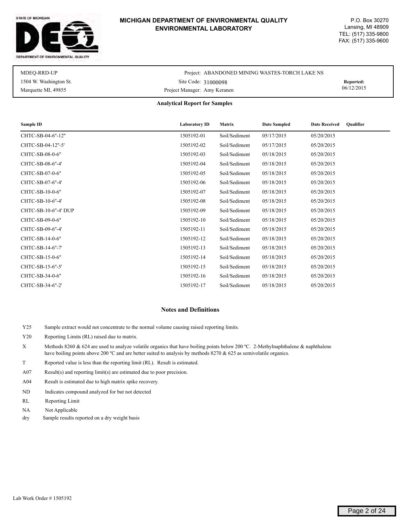#### STATE OF MICHIGAN



#### **MICHIGAN DEPARTMENT OF ENVIRONMENTAL QUALITY ENVIRONMENTAL LABORATORY**

| MDEO-RRD-UP            | Project: ABANDONED MINING WASTES-TORCH LAKE NS |            |
|------------------------|------------------------------------------------|------------|
| 1504 W. Washington St. | Site Code: 31000098                            | Reported:  |
| Marquette MI, 49855    | Project Manager: Amy Keranen                   | 06/12/2015 |

#### **Analytical Report for Samples**

| Sample ID            | <b>Laboratory ID</b> | <b>Matrix</b> | <b>Date Sampled</b> | <b>Oualifier</b><br><b>Date Received</b> |
|----------------------|----------------------|---------------|---------------------|------------------------------------------|
| CHTC-SB-04-6"-12"    | 1505192-01           | Soil/Sediment | 05/17/2015          | 05/20/2015                               |
| CHTC-SB-04-12"-5'    | 1505192-02           | Soil/Sediment | 05/17/2015          | 05/20/2015                               |
| CHTC-SB-08-0-6"      | 1505192-03           | Soil/Sediment | 05/18/2015          | 05/20/2015                               |
| CHTC-SB-08-6"-4'     | 1505192-04           | Soil/Sediment | 05/18/2015          | 05/20/2015                               |
| CHTC-SB-07-0-6"      | 1505192-05           | Soil/Sediment | 05/18/2015          | 05/20/2015                               |
| CHTC-SB-07-6"-4'     | 1505192-06           | Soil/Sediment | 05/18/2015          | 05/20/2015                               |
| CHTC-SB-10-0-6"      | 1505192-07           | Soil/Sediment | 05/18/2015          | 05/20/2015                               |
| CHTC-SB-10-6"-4'     | 1505192-08           | Soil/Sediment | 05/18/2015          | 05/20/2015                               |
| CHTC-SB-10-6"-4' DUP | 1505192-09           | Soil/Sediment | 05/18/2015          | 05/20/2015                               |
| CHTC-SB-09-0-6"      | 1505192-10           | Soil/Sediment | 05/18/2015          | 05/20/2015                               |
| CHTC-SB-09-6"-4'     | 1505192-11           | Soil/Sediment | 05/18/2015          | 05/20/2015                               |
| CHTC-SB-14-0-6"      | 1505192-12           | Soil/Sediment | 05/18/2015          | 05/20/2015                               |
| CHTC-SB-14-6"-7'     | 1505192-13           | Soil/Sediment | 05/18/2015          | 05/20/2015                               |
| CHTC-SB-15-0-6"      | 1505192-14           | Soil/Sediment | 05/18/2015          | 05/20/2015                               |
| CHTC-SB-15-6"-5"     | 1505192-15           | Soil/Sediment | 05/18/2015          | 05/20/2015                               |
| CHTC-SB-34-0-6"      | 1505192-16           | Soil/Sediment | 05/18/2015          | 05/20/2015                               |
| CHTC-SB-34-6"-2'     | 1505192-17           | Soil/Sediment | 05/18/2015          | 05/20/2015                               |

#### **Notes and Definitions**

- Y25 Sample extract would not concentrate to the normal volume causing raised reporting limits.
- Y20 Reporting Limits (RL) raised due to matrix.
- X Methods 8260 & 624 are used to analyze volatile organics that have boiling points below 200 ºC. 2-Methylnaphthalene & naphthalene have boiling points above 200 °C and are better suited to analysis by methods 8270 & 625 as semivolatile organics.
- T Reported value is less than the reporting limit (RL). Result is estimated.
- A07 Result(s) and reporting limit(s) are estimated due to poor precision.
- A04 Result is estimated due to high matrix spike recovery.
- ND Indicates compound analyzed for but not detected
- RL Reporting Limit
- NA Not Applicable
- dry Sample results reported on a dry weight basis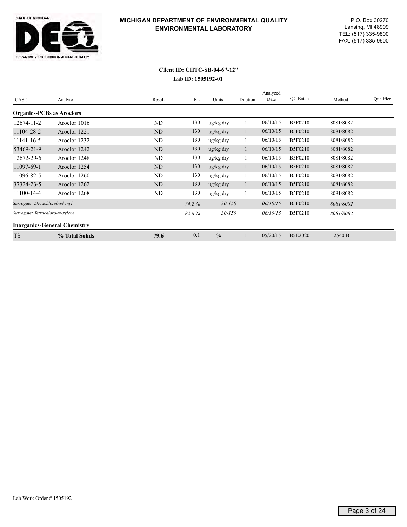

|                                  |                                     |           |       |                       |          | Analyzed |                |           |           |
|----------------------------------|-------------------------------------|-----------|-------|-----------------------|----------|----------|----------------|-----------|-----------|
| CAS#                             | Analyte                             | Result    | RL    | Units                 | Dilution | Date     | QC Batch       | Method    | Qualifier |
| <b>Organics-PCBs as Aroclors</b> |                                     |           |       |                       |          |          |                |           |           |
| 12674-11-2                       | Aroclor 1016                        | ND        | 130   | ug/kg dry             |          | 06/10/15 | <b>B5F0210</b> | 8081/8082 |           |
| 11104-28-2                       | Aroclor 1221                        | <b>ND</b> | 130   | $\frac{u g}{k g}$ dry |          | 06/10/15 | <b>B5F0210</b> | 8081/8082 |           |
| 11141-16-5                       | Aroclor 1232                        | ND        | 130   | ug/kg dry             |          | 06/10/15 | <b>B5F0210</b> | 8081/8082 |           |
| 53469-21-9                       | Aroclor 1242                        | <b>ND</b> | 130   | $\frac{u g}{k g}$ dry |          | 06/10/15 | <b>B5F0210</b> | 8081/8082 |           |
| 12672-29-6                       | Aroclor 1248                        | ND        | 130   | ug/kg dry             |          | 06/10/15 | <b>B5F0210</b> | 8081/8082 |           |
| 11097-69-1                       | Aroclor 1254                        | ND        | 130   | $\frac{u g}{k g}$ dry |          | 06/10/15 | <b>B5F0210</b> | 8081/8082 |           |
| 11096-82-5                       | Aroclor 1260                        | ND        | 130   | ug/kg dry             |          | 06/10/15 | <b>B5F0210</b> | 8081/8082 |           |
| 37324-23-5                       | Aroclor 1262                        | ND        | 130   | $\frac{u g}{k g}$ dry |          | 06/10/15 | B5F0210        | 8081/8082 |           |
| 11100-14-4                       | Aroclor 1268                        | ND        | 130   | ug/kg dry             |          | 06/10/15 | <b>B5F0210</b> | 8081/8082 |           |
| Surrogate: Decachlorobiphenyl    |                                     |           | 74.2% | $30 - 150$            |          | 06/10/15 | <b>B5F0210</b> | 8081/8082 |           |
| Surrogate: Tetrachloro-m-xylene  |                                     |           | 82.6% | $30 - 150$            |          | 06/10/15 | <b>B5F0210</b> | 8081/8082 |           |
|                                  | <b>Inorganics-General Chemistry</b> |           |       |                       |          |          |                |           |           |
| <b>TS</b>                        | % Total Solids                      | 79.6      | 0.1   | $\frac{0}{0}$         |          | 05/20/15 | <b>B5E2020</b> | 2540 B    |           |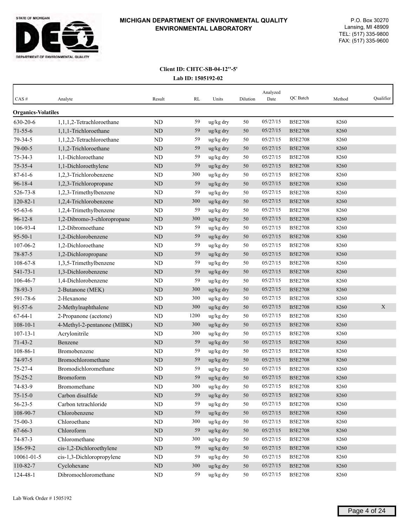

| CAS#                      | Analyte                     | Result     | RL   | Units     | Dilution | Analyzed<br>Date | QC Batch       | Method | Qualifier |
|---------------------------|-----------------------------|------------|------|-----------|----------|------------------|----------------|--------|-----------|
| <b>Organics-Volatiles</b> |                             |            |      |           |          |                  |                |        |           |
| 630-20-6                  | 1,1,1,2-Tetrachloroethane   | ND         | 59   | ug/kg dry | 50       | 05/27/15         | <b>B5E2708</b> | 8260   |           |
| $71 - 55 - 6$             | 1,1,1-Trichloroethane       | <b>ND</b>  | 59   | ug/kg dry | 50       | 05/27/15         | <b>B5E2708</b> | 8260   |           |
| 79-34-5                   | 1,1,2,2-Tetrachloroethane   | <b>ND</b>  | 59   | ug/kg dry | 50       | 05/27/15         | <b>B5E2708</b> | 8260   |           |
| 79-00-5                   | 1,1,2-Trichloroethane       | <b>ND</b>  | 59   | ug/kg dry | 50       | 05/27/15         | <b>B5E2708</b> | 8260   |           |
| $75 - 34 - 3$             | 1,1-Dichloroethane          | <b>ND</b>  | 59   | ug/kg dry | 50       | 05/27/15         | <b>B5E2708</b> | 8260   |           |
| $75 - 35 - 4$             | 1,1-Dichloroethylene        | ND         | 59   | ug/kg dry | 50       | 05/27/15         | <b>B5E2708</b> | 8260   |           |
| $87 - 61 - 6$             | 1,2,3-Trichlorobenzene      | <b>ND</b>  | 300  | ug/kg dry | 50       | 05/27/15         | <b>B5E2708</b> | 8260   |           |
| 96-18-4                   | 1,2,3-Trichloropropane      | $\rm ND$   | 59   | ug/kg dry | 50       | 05/27/15         | <b>B5E2708</b> | 8260   |           |
| 526-73-8                  | 1,2,3-Trimethylbenzene      | <b>ND</b>  | 59   | ug/kg dry | 50       | 05/27/15         | <b>B5E2708</b> | 8260   |           |
| $120 - 82 - 1$            | 1,2,4-Trichlorobenzene      | <b>ND</b>  | 300  | ug/kg dry | 50       | 05/27/15         | <b>B5E2708</b> | 8260   |           |
| $95 - 63 - 6$             | 1,2,4-Trimethylbenzene      | <b>ND</b>  | 59   | ug/kg dry | 50       | 05/27/15         | <b>B5E2708</b> | 8260   |           |
| $96 - 12 - 8$             | 1,2-Dibromo-3-chloropropane | ND         | 300  | ug/kg dry | 50       | 05/27/15         | <b>B5E2708</b> | 8260   |           |
| 106-93-4                  | 1,2-Dibromoethane           | ND         | 59   | ug/kg dry | 50       | 05/27/15         | <b>B5E2708</b> | 8260   |           |
| $95 - 50 - 1$             | 1,2-Dichlorobenzene         | <b>ND</b>  | 59   | ug/kg dry | 50       | 05/27/15         | <b>B5E2708</b> | 8260   |           |
| 107-06-2                  | 1,2-Dichloroethane          | <b>ND</b>  | 59   | ug/kg dry | 50       | 05/27/15         | <b>B5E2708</b> | 8260   |           |
| 78-87-5                   | 1,2-Dichloropropane         | <b>ND</b>  | 59   | ug/kg dry | 50       | 05/27/15         | <b>B5E2708</b> | 8260   |           |
| 108-67-8                  | 1,3,5-Trimethylbenzene      | ND         | 59   | ug/kg dry | 50       | 05/27/15         | <b>B5E2708</b> | 8260   |           |
| $541 - 73 - 1$            | 1,3-Dichlorobenzene         | ND         | 59   | ug/kg dry | 50       | 05/27/15         | <b>B5E2708</b> | 8260   |           |
| 106-46-7                  | 1,4-Dichlorobenzene         | <b>ND</b>  | 59   | ug/kg dry | 50       | 05/27/15         | <b>B5E2708</b> | 8260   |           |
| 78-93-3                   | 2-Butanone (MEK)            | <b>ND</b>  | 300  | ug/kg dry | 50       | 05/27/15         | <b>B5E2708</b> | 8260   |           |
| 591-78-6                  | 2-Hexanone                  | <b>ND</b>  | 300  | ug/kg dry | 50       | 05/27/15         | <b>B5E2708</b> | 8260   |           |
| $91 - 57 - 6$             | 2-Methylnaphthalene         | <b>ND</b>  | 300  | ug/kg dry | 50       | 05/27/15         | <b>B5E2708</b> | 8260   | X         |
| $67 - 64 - 1$             | 2-Propanone (acetone)       | <b>ND</b>  | 1200 | ug/kg dry | 50       | 05/27/15         | <b>B5E2708</b> | 8260   |           |
| $108 - 10 - 1$            | 4-Methyl-2-pentanone (MIBK) | <b>ND</b>  | 300  | ug/kg dry | 50       | 05/27/15         | <b>B5E2708</b> | 8260   |           |
| $107 - 13 - 1$            | Acrylonitrile               | <b>ND</b>  | 300  | ug/kg dry | 50       | 05/27/15         | <b>B5E2708</b> | 8260   |           |
| $71 - 43 - 2$             | Benzene                     | ND         | 59   | ug/kg dry | 50       | 05/27/15         | <b>B5E2708</b> | 8260   |           |
| 108-86-1                  | Bromobenzene                | ND         | 59   | ug/kg dry | 50       | 05/27/15         | <b>B5E2708</b> | 8260   |           |
| 74-97-5                   | Bromochloromethane          | <b>ND</b>  | 59   | ug/kg dry | 50       | 05/27/15         | <b>B5E2708</b> | 8260   |           |
| $75 - 27 - 4$             | Bromodichloromethane        | ND         | 59   | ug/kg dry | 50       | 05/27/15         | <b>B5E2708</b> | 8260   |           |
| $75 - 25 - 2$             | Bromoform                   | ND         | 59   | ug/kg dry | 50       | 05/27/15         | <b>B5E2708</b> | 8260   |           |
| 74-83-9                   | Bromomethane                | ND         | 300  | ug/kg dry | 50       | 05/27/15         | <b>B5E2708</b> | 8260   |           |
| $75 - 15 - 0$             | Carbon disulfide            | $\rm ND$   | 59   | ug/kg dry | 50       | 05/27/15         | <b>B5E2708</b> | 8260   |           |
| $56 - 23 - 5$             | Carbon tetrachloride        | ND         | 59   | ug/kg dry | 50       | 05/27/15         | <b>B5E2708</b> | 8260   |           |
| 108-90-7                  | Chlorobenzene               | $\rm ND$   | 59   | ug/kg dry | 50       | 05/27/15         | <b>B5E2708</b> | 8260   |           |
| $75 - 00 - 3$             | Chloroethane                | $\rm ND$   | 300  | ug/kg dry | 50       | 05/27/15         | <b>B5E2708</b> | 8260   |           |
| 67-66-3                   | Chloroform                  | $\rm ND$   | 59   | ug/kg dry | 50       | 05/27/15         | <b>B5E2708</b> | 8260   |           |
| 74-87-3                   | Chloromethane               | ${\rm ND}$ | 300  | ug/kg dry | 50       | 05/27/15         | <b>B5E2708</b> | 8260   |           |
| 156-59-2                  | cis-1,2-Dichloroethylene    | ND         | 59   | ug/kg dry | 50       | 05/27/15         | <b>B5E2708</b> | 8260   |           |
| 10061-01-5                | cis-1,3-Dichloropropylene   | ND         | 59   | ug/kg dry | 50       | 05/27/15         | <b>B5E2708</b> | 8260   |           |
| 110-82-7                  | Cyclohexane                 | ND         | 300  | ug/kg dry | 50       | 05/27/15         | <b>B5E2708</b> | 8260   |           |
| 124-48-1                  | Dibromochloromethane        | $\rm ND$   | 59   | ug/kg dry | 50       | 05/27/15         | <b>B5E2708</b> | 8260   |           |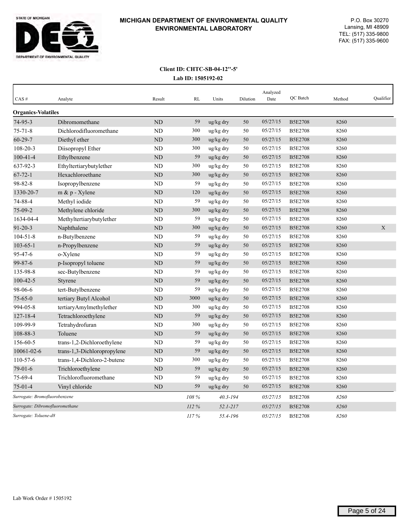

| $CAS$ #                       | Analyte                         | Result         | RL    | Units        | Dilution | Analyzed<br>Date | QC Batch       | Method | Qualifier   |
|-------------------------------|---------------------------------|----------------|-------|--------------|----------|------------------|----------------|--------|-------------|
| <b>Organics-Volatiles</b>     |                                 |                |       |              |          |                  |                |        |             |
| $74 - 95 - 3$                 | Dibromomethane                  | <b>ND</b>      | 59    | ug/kg dry    | 50       | 05/27/15         | <b>B5E2708</b> | 8260   |             |
| $75 - 71 - 8$                 | Dichlorodifluoromethane         | <b>ND</b>      | 300   | ug/kg dry    | 50       | 05/27/15         | <b>B5E2708</b> | 8260   |             |
| $60 - 29 - 7$                 | Diethyl ether                   | <b>ND</b>      | 300   | ug/kg dry    | 50       | 05/27/15         | <b>B5E2708</b> | 8260   |             |
| $108 - 20 - 3$                | Diisopropyl Ether               | ND             | 300   | ug/kg dry    | 50       | 05/27/15         | <b>B5E2708</b> | 8260   |             |
| $100 - 41 - 4$                | Ethylbenzene                    | <b>ND</b>      | 59    | ug/kg dry    | 50       | 05/27/15         | <b>B5E2708</b> | 8260   |             |
| 637-92-3                      | Ethyltertiarybutylether         | ND             | 300   | ug/kg dry    | 50       | 05/27/15         | <b>B5E2708</b> | 8260   |             |
| $67 - 72 - 1$                 | Hexachloroethane                | <b>ND</b>      | 300   | ug/kg dry    | 50       | 05/27/15         | <b>B5E2708</b> | 8260   |             |
| 98-82-8                       | Isopropylbenzene                | <b>ND</b>      | 59    | ug/kg dry    | 50       | 05/27/15         | <b>B5E2708</b> | 8260   |             |
| 1330-20-7                     | $m \& p$ - Xylene               | $\rm ND$       | 120   | ug/kg dry    | 50       | 05/27/15         | <b>B5E2708</b> | 8260   |             |
| 74-88-4                       | Methyl iodide                   | N <sub>D</sub> | 59    | ug/kg dry    | 50       | 05/27/15         | <b>B5E2708</b> | 8260   |             |
| 75-09-2                       | Methylene chloride              | <b>ND</b>      | 300   | ug/kg dry    | 50       | 05/27/15         | <b>B5E2708</b> | 8260   |             |
| 1634-04-4                     | Methyltertiarybutylether        | ND             | 59    | ug/kg dry    | 50       | 05/27/15         | <b>B5E2708</b> | 8260   |             |
| $91 - 20 - 3$                 | Naphthalene                     | <b>ND</b>      | 300   | ug/kg dry    | 50       | 05/27/15         | <b>B5E2708</b> | 8260   | $\mathbf X$ |
| $104 - 51 - 8$                | n-Butylbenzene                  | <b>ND</b>      | 59    | ug/kg dry    | 50       | 05/27/15         | <b>B5E2708</b> | 8260   |             |
| $103 - 65 - 1$                | n-Propylbenzene                 | <b>ND</b>      | 59    | ug/kg dry    | 50       | 05/27/15         | <b>B5E2708</b> | 8260   |             |
| $95 - 47 - 6$                 | o-Xylene                        | <b>ND</b>      | 59    | ug/kg dry    | 50       | 05/27/15         | <b>B5E2708</b> | 8260   |             |
| 99-87-6                       | p-Isopropyl toluene             | <b>ND</b>      | 59    | ug/kg dry    | 50       | 05/27/15         | <b>B5E2708</b> | 8260   |             |
| 135-98-8                      | sec-Butylbenzene                | ND             | 59    | ug/kg dry    | 50       | 05/27/15         | <b>B5E2708</b> | 8260   |             |
| $100 - 42 - 5$                | Styrene                         | <b>ND</b>      | 59    | ug/kg dry    | 50       | 05/27/15         | <b>B5E2708</b> | 8260   |             |
| 98-06-6                       | tert-Butylbenzene               | ND             | 59    | ug/kg dry    | 50       | 05/27/15         | <b>B5E2708</b> | 8260   |             |
| $75 - 65 - 0$                 | tertiary Butyl Alcohol          | ND             | 3000  | ug/kg dry    | 50       | 05/27/15         | <b>B5E2708</b> | 8260   |             |
| 994-05-8                      | tertiaryAmylmethylether         | <b>ND</b>      | 300   | ug/kg dry    | 50       | 05/27/15         | <b>B5E2708</b> | 8260   |             |
| $127 - 18 - 4$                | Tetrachloroethylene             | ND             | 59    | ug/kg dry    | 50       | 05/27/15         | <b>B5E2708</b> | 8260   |             |
| 109-99-9                      | Tetrahydrofuran                 | <b>ND</b>      | 300   | ug/kg dry    | 50       | 05/27/15         | <b>B5E2708</b> | 8260   |             |
| 108-88-3                      | Toluene                         | <b>ND</b>      | 59    | ug/kg dry    | 50       | 05/27/15         | <b>B5E2708</b> | 8260   |             |
| 156-60-5                      | trans-1,2-Dichloroethylene      | <b>ND</b>      | 59    | ug/kg dry    | 50       | 05/27/15         | <b>B5E2708</b> | 8260   |             |
| 10061-02-6                    | trans-1,3-Dichloropropylene     | ND             | 59    | ug/kg dry    | 50       | 05/27/15         | <b>B5E2708</b> | 8260   |             |
| 110-57-6                      | trans-1,4-Dichloro-2-butene     | <b>ND</b>      | 300   | ug/kg dry    | 50       | 05/27/15         | <b>B5E2708</b> | 8260   |             |
| $79-01-6$                     | Trichloroethylene               | <b>ND</b>      | 59    | ug/kg dry    | 50       | 05/27/15         | <b>B5E2708</b> | 8260   |             |
| 75-69-4                       | Trichlorofluoromethane          | <b>ND</b>      | 59    | ug/kg dry    | 50       | 05/27/15         | <b>B5E2708</b> | 8260   |             |
| $75-01-4$                     | Vinyl chloride                  | <b>ND</b>      | 59    | ug/kg dry    | 50       | 05/27/15         | <b>B5E2708</b> | 8260   |             |
| Surrogate: Bromofluorobenzene |                                 |                | 108 % | $40.3 - 194$ |          | 05/27/15         | <b>B5E2708</b> | 8260   |             |
|                               | Surrogate: Dibromofluoromethane |                | 112%  | $52.1 - 217$ |          | 05/27/15         | <b>B5E2708</b> | 8260   |             |
| Surrogate: Toluene-d8         |                                 |                | 117%  | 55.4-196     |          | 05/27/15         | <b>B5E2708</b> | 8260   |             |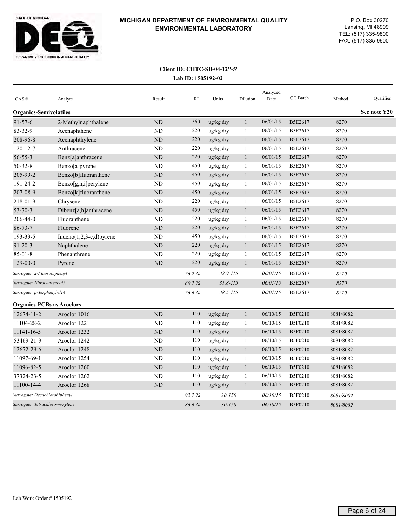

| CAS#                             | Analyte                     | Result         | RL    | Units        | Dilution     | Analyzed<br>Date | QC Batch       | Method    | Qualifier    |
|----------------------------------|-----------------------------|----------------|-------|--------------|--------------|------------------|----------------|-----------|--------------|
| <b>Organics-Semivolatiles</b>    |                             |                |       |              |              |                  |                |           | See note Y20 |
| $91 - 57 - 6$                    | 2-Methylnaphthalene         | N <sub>D</sub> | 560   | ug/kg dry    | $\mathbf{1}$ | 06/01/15         | B5E2617        | 8270      |              |
| 83-32-9                          | Acenaphthene                | <b>ND</b>      | 220   | ug/kg dry    | $\mathbf{1}$ | 06/01/15         | B5E2617        | 8270      |              |
| 208-96-8                         | Acenaphthylene              | <b>ND</b>      | 220   | ug/kg dry    | $\mathbf{1}$ | 06/01/15         | B5E2617        | 8270      |              |
| $120 - 12 - 7$                   | Anthracene                  | ND             | 220   | ug/kg dry    | 1            | 06/01/15         | B5E2617        | 8270      |              |
| $56 - 55 - 3$                    | Benz[a]anthracene           | $\rm ND$       | 220   | ug/kg dry    | $\mathbf{1}$ | 06/01/15         | B5E2617        | 8270      |              |
| $50 - 32 - 8$                    | Benzo[a]pyrene              | <b>ND</b>      | 450   | ug/kg dry    | 1            | 06/01/15         | B5E2617        | 8270      |              |
| 205-99-2                         | Benzo[b]fluoranthene        | $\rm ND$       | 450   | ug/kg dry    | $\mathbf{1}$ | 06/01/15         | B5E2617        | 8270      |              |
| 191-24-2                         | Benzo[g,h,i]perylene        | <b>ND</b>      | 450   | ug/kg dry    | $\mathbf{1}$ | 06/01/15         | B5E2617        | 8270      |              |
| 207-08-9                         | Benzo[k]fluoranthene        | ND             | 450   | ug/kg dry    | $\mathbf{1}$ | 06/01/15         | B5E2617        | 8270      |              |
| 218-01-9                         | Chrysene                    | ND             | 220   | ug/kg dry    | 1            | 06/01/15         | B5E2617        | 8270      |              |
| $53 - 70 - 3$                    | Dibenz[a,h]anthracene       | <b>ND</b>      | 450   | ug/kg dry    | $\mathbf{1}$ | 06/01/15         | B5E2617        | 8270      |              |
| 206-44-0                         | Fluoranthene                | <b>ND</b>      | 220   | ug/kg dry    | $\mathbf{1}$ | 06/01/15         | B5E2617        | 8270      |              |
| $86 - 73 - 7$                    | Fluorene                    | <b>ND</b>      | 220   | ug/kg dry    | $\mathbf{1}$ | 06/01/15         | B5E2617        | 8270      |              |
| 193-39-5                         | Indeno $(1,2,3-c,d)$ pyrene | <b>ND</b>      | 450   | ug/kg dry    | 1            | 06/01/15         | B5E2617        | 8270      |              |
| $91 - 20 - 3$                    | Naphthalene                 | ND             | 220   | ug/kg dry    | $\mathbf{1}$ | 06/01/15         | B5E2617        | 8270      |              |
| $85 - 01 - 8$                    | Phenanthrene                | <b>ND</b>      | 220   | ug/kg dry    | 1            | 06/01/15         | B5E2617        | 8270      |              |
| $129 - 00 - 0$                   | Pyrene                      | ND             | 220   | ug/kg dry    | $\mathbf{1}$ | 06/01/15         | B5E2617        | 8270      |              |
| Surrogate: 2-Fluorobiphenyl      |                             |                | 76.2% | $32.9 - 115$ |              | 06/01/15         | B5E2617        | 8270      |              |
| Surrogate: Nitrobenzene-d5       |                             |                | 60.7% | $31.8 - 115$ |              | 06/01/15         | B5E2617        | 8270      |              |
| Surrogate: p-Terphenyl-d14       |                             |                | 76.6% | $38.5 - 115$ |              | 06/01/15         | B5E2617        | 8270      |              |
| <b>Organics-PCBs as Aroclors</b> |                             |                |       |              |              |                  |                |           |              |
| 12674-11-2                       | Aroclor 1016                | <b>ND</b>      | 110   | ug/kg dry    | $\mathbf{1}$ | 06/10/15         | B5F0210        | 8081/8082 |              |
| 11104-28-2                       | Aroclor 1221                | <b>ND</b>      | 110   | ug/kg dry    | $\mathbf{1}$ | 06/10/15         | B5F0210        | 8081/8082 |              |
| 11141-16-5                       | Aroclor 1232                | <b>ND</b>      | 110   | ug/kg dry    | $\mathbf{1}$ | 06/10/15         | <b>B5F0210</b> | 8081/8082 |              |
| 53469-21-9                       | Aroclor 1242                | ND             | 110   | ug/kg dry    | 1            | 06/10/15         | B5F0210        | 8081/8082 |              |
| 12672-29-6                       | Aroclor 1248                | <b>ND</b>      | 110   | ug/kg dry    | $\mathbf{1}$ | 06/10/15         | B5F0210        | 8081/8082 |              |
| 11097-69-1                       | Aroclor 1254                | <b>ND</b>      | 110   | ug/kg dry    | $\mathbf{1}$ | 06/10/15         | B5F0210        | 8081/8082 |              |
| 11096-82-5                       | Aroclor 1260                | ND             | 110   | ug/kg dry    | $\mathbf{1}$ | 06/10/15         | B5F0210        | 8081/8082 |              |
| 37324-23-5                       | Aroclor 1262                | <b>ND</b>      | 110   | ug/kg dry    | 1            | 06/10/15         | B5F0210        | 8081/8082 |              |
| 11100-14-4                       | Aroclor 1268                | <b>ND</b>      | 110   | ug/kg dry    | $\mathbf{1}$ | 06/10/15         | <b>B5F0210</b> | 8081/8082 |              |
| Surrogate: Decachlorobiphenyl    |                             |                | 92.7% | $30 - 150$   |              | 06/10/15         | <b>B5F0210</b> | 8081/8082 |              |
| Surrogate: Tetrachloro-m-xylene  |                             |                | 86.6% | $30 - 150$   |              | 06/10/15         | B5F0210        | 8081/8082 |              |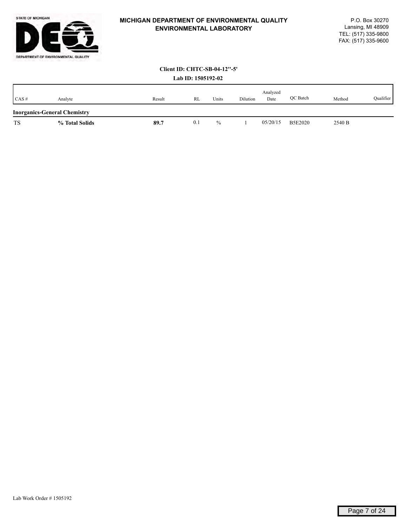

|           |                                     |        | LAV 1D. 1303174-04 |               |          |                  |                |        |           |
|-----------|-------------------------------------|--------|--------------------|---------------|----------|------------------|----------------|--------|-----------|
| CAS#      | Analyte                             | Result | RL                 | Units         | Dilution | Analyzed<br>Date | OC Batch       | Method | Qualifier |
|           | <b>Inorganics-General Chemistry</b> |        |                    |               |          |                  |                |        |           |
| <b>TS</b> | % Total Solids                      | 89.7   | 0.1                | $\frac{0}{0}$ |          | 05/20/15         | <b>B5E2020</b> | 2540 B |           |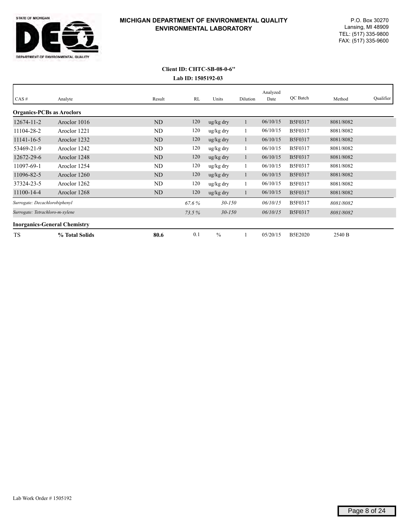

# **Lab ID: 1505192-03 Client ID: CHTC-SB-08-0-6''**

| CAS#                                | Analyte        | Result         | RL    | Units                 | Dilution | Analyzed<br>Date | OC Batch       | Method    | Qualifier |
|-------------------------------------|----------------|----------------|-------|-----------------------|----------|------------------|----------------|-----------|-----------|
| <b>Organics-PCBs as Aroclors</b>    |                |                |       |                       |          |                  |                |           |           |
| 12674-11-2                          | Aroclor 1016   | ND             | 120   | $\frac{u g}{k g}$ dry |          | 06/10/15         | B5F0317        | 8081/8082 |           |
| 11104-28-2                          | Aroclor 1221   | ND             | 120   | ug/kg dry             |          | 06/10/15         | B5F0317        | 8081/8082 |           |
| 11141-16-5                          | Aroclor 1232   | ND             | 120   | $\frac{u g}{k g}$ dry |          | 06/10/15         | B5F0317        | 8081/8082 |           |
| 53469-21-9                          | Aroclor 1242   | ND             | 120   | ug/kg dry             |          | 06/10/15         | B5F0317        | 8081/8082 |           |
| 12672-29-6                          | Aroclor 1248   | ND             | 120   | $\frac{u g}{k g}$ dry |          | 06/10/15         | <b>B5F0317</b> | 8081/8082 |           |
| 11097-69-1                          | Aroclor 1254   | ND             | 120   | ug/kg dry             |          | 06/10/15         | B5F0317        | 8081/8082 |           |
| 11096-82-5                          | Aroclor 1260   | ND             | 120   | $\frac{u g}{k g}$ dry | -1       | 06/10/15         | <b>B5F0317</b> | 8081/8082 |           |
| 37324-23-5                          | Aroclor 1262   | ND             | 120   | ug/kg dry             |          | 06/10/15         | B5F0317        | 8081/8082 |           |
| 11100-14-4                          | Aroclor 1268   | N <sub>D</sub> | 120   | $\frac{u g}{k g}$ dry |          | 06/10/15         | B5F0317        | 8081/8082 |           |
| Surrogate: Decachlorobiphenyl       |                |                | 67.6% | $30 - 150$            |          | 06/10/15         | B5F0317        | 8081/8082 |           |
| Surrogate: Tetrachloro-m-xylene     |                |                | 73.5% | $30 - 150$            |          | 06/10/15         | B5F0317        | 8081/8082 |           |
| <b>Inorganics-General Chemistry</b> |                |                |       |                       |          |                  |                |           |           |
| <b>TS</b>                           | % Total Solids | 80.6           | 0.1   | $\frac{0}{0}$         |          | 05/20/15         | <b>B5E2020</b> | 2540 B    |           |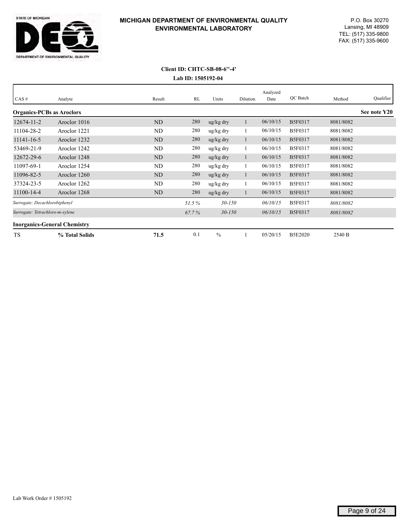

| CAS#                             | Analyte                             | Result | RL    | Units      | Dilution | Analyzed<br>Date | QC Batch       | Method    | Qualifier    |
|----------------------------------|-------------------------------------|--------|-------|------------|----------|------------------|----------------|-----------|--------------|
| <b>Organics-PCBs as Aroclors</b> |                                     |        |       |            |          |                  |                |           | See note Y20 |
| $12674 - 11 - 2$                 | Aroclor 1016                        | ND     | 280   | ug/kg dry  |          | 06/10/15         | <b>B5F0317</b> | 8081/8082 |              |
| 11104-28-2                       | Aroclor 1221                        | ND     | 280   | ug/kg dry  |          | 06/10/15         | <b>B5F0317</b> | 8081/8082 |              |
| 11141-16-5                       | Aroclor 1232                        | ND     | 280   | ug/kg dry  | 1        | 06/10/15         | <b>B5F0317</b> | 8081/8082 |              |
| 53469-21-9                       | Aroclor 1242                        | ND     | 280   | ug/kg dry  |          | 06/10/15         | <b>B5F0317</b> | 8081/8082 |              |
| 12672-29-6                       | Aroclor 1248                        | ND     | 280   | ug/kg dry  | -1       | 06/10/15         | <b>B5F0317</b> | 8081/8082 |              |
| 11097-69-1                       | Aroclor 1254                        | ND     | 280   | ug/kg dry  |          | 06/10/15         | <b>B5F0317</b> | 8081/8082 |              |
| 11096-82-5                       | Aroclor 1260                        | ND     | 280   | ug/kg dry  |          | 06/10/15         | B5F0317        | 8081/8082 |              |
| 37324-23-5                       | Aroclor 1262                        | ND     | 280   | ug/kg dry  |          | 06/10/15         | <b>B5F0317</b> | 8081/8082 |              |
| 11100-14-4                       | Aroclor 1268                        | ND     | 280   | ug/kg dry  |          | 06/10/15         | B5F0317        | 8081/8082 |              |
| Surrogate: Decachlorobiphenyl    |                                     |        | 51.5% | $30 - 150$ |          | 06/10/15         | <b>B5F0317</b> | 8081/8082 |              |
| Surrogate: Tetrachloro-m-xylene  |                                     |        | 67.7% | $30 - 150$ |          | 06/10/15         | B5F0317        | 8081/8082 |              |
|                                  | <b>Inorganics-General Chemistry</b> |        |       |            |          |                  |                |           |              |
| <b>TS</b>                        | % Total Solids                      | 71.5   | 0.1   | $\%$       |          | 05/20/15         | <b>B5E2020</b> | 2540 B    |              |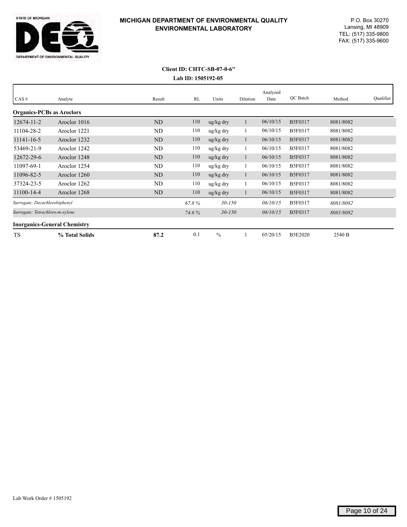

# **Lab ID: 1505192-05 Client ID: CHTC-SB-07-0-6''**

| CAS#                                | Analyte        | Result    | RL    | Units                 | Dilution | Analyzed<br>Date | OC Batch       | Method    | Qualifier |
|-------------------------------------|----------------|-----------|-------|-----------------------|----------|------------------|----------------|-----------|-----------|
| <b>Organics-PCBs as Aroclors</b>    |                |           |       |                       |          |                  |                |           |           |
| 12674-11-2                          | Aroclor 1016   | ND        | 110   | $\frac{u g}{k g}$ dry |          | 06/10/15         | B5F0317        | 8081/8082 |           |
| 11104-28-2                          | Aroclor 1221   | ND        | 110   | ug/kg dry             |          | 06/10/15         | B5F0317        | 8081/8082 |           |
| 11141-16-5                          | Aroclor 1232   | ND        | 110   | $\frac{u g}{k g}$ dry |          | 06/10/15         | B5F0317        | 8081/8082 |           |
| 53469-21-9                          | Aroclor 1242   | ND        | 110   | ug/kg dry             |          | 06/10/15         | B5F0317        | 8081/8082 |           |
| 12672-29-6                          | Aroclor 1248   | <b>ND</b> | 110   | $\frac{u g}{k g}$ dry |          | 06/10/15         | <b>B5F0317</b> | 8081/8082 |           |
| 11097-69-1                          | Aroclor 1254   | ND        | 110   | ug/kg dry             |          | 06/10/15         | B5F0317        | 8081/8082 |           |
| 11096-82-5                          | Aroclor 1260   | ND        | 110   | $\frac{u g}{k g}$ dry |          | 06/10/15         | B5F0317        | 8081/8082 |           |
| 37324-23-5                          | Aroclor 1262   | ND        | 110   | ug/kg dry             |          | 06/10/15         | B5F0317        | 8081/8082 |           |
| 11100-14-4                          | Aroclor 1268   | ND        | 110   | $\frac{u g}{k g}$ dry |          | 06/10/15         | B5F0317        | 8081/8082 |           |
| Surrogate: Decachlorobiphenyl       |                |           | 67.8% | $30 - 150$            |          | 06/10/15         | <b>B5F0317</b> | 8081/8082 |           |
| Surrogate: Tetrachloro-m-xylene     |                |           | 74.6% | $30 - 150$            |          | 06/10/15         | B5F0317        | 8081/8082 |           |
| <b>Inorganics-General Chemistry</b> |                |           |       |                       |          |                  |                |           |           |
| TS                                  | % Total Solids | 87.2      | 0.1   | $\%$                  |          | 05/20/15         | <b>B5E2020</b> | 2540 B    |           |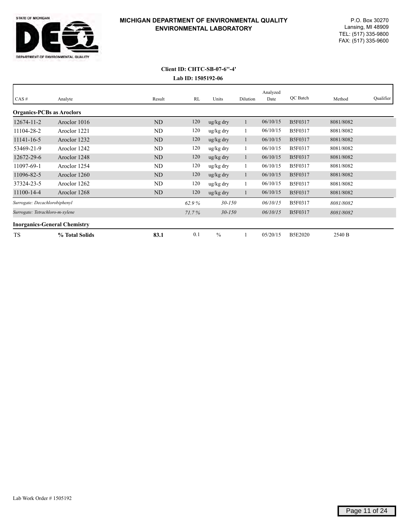

| CAS#                                |                | Result | RL    | Units                 |          | Analyzed<br>Date | QC Batch       |           | Qualifier |
|-------------------------------------|----------------|--------|-------|-----------------------|----------|------------------|----------------|-----------|-----------|
|                                     | Analyte        |        |       |                       | Dilution |                  |                | Method    |           |
| <b>Organics-PCBs as Aroclors</b>    |                |        |       |                       |          |                  |                |           |           |
| $12674 - 11 - 2$                    | Aroclor 1016   | ND     | 120   | $\frac{u g}{k g}$ dry |          | 06/10/15         | B5F0317        | 8081/8082 |           |
| 11104-28-2                          | Aroclor 1221   | ND     | 120   | ug/kg dry             |          | 06/10/15         | B5F0317        | 8081/8082 |           |
| 11141-16-5                          | Aroclor 1232   | ND     | 120   | $\frac{u g}{k g}$ dry |          | 06/10/15         | <b>B5F0317</b> | 8081/8082 |           |
| 53469-21-9                          | Aroclor 1242   | ND     | 120   | ug/kg dry             |          | 06/10/15         | B5F0317        | 8081/8082 |           |
| 12672-29-6                          | Aroclor 1248   | ND     | 120   | $\frac{u g}{k g}$ dry |          | 06/10/15         | <b>B5F0317</b> | 8081/8082 |           |
| 11097-69-1                          | Aroclor 1254   | ND     | 120   | ug/kg dry             |          | 06/10/15         | B5F0317        | 8081/8082 |           |
| 11096-82-5                          | Aroclor 1260   | ND     | 120   | $\frac{u g}{k g}$ dry |          | 06/10/15         | B5F0317        | 8081/8082 |           |
| 37324-23-5                          | Aroclor 1262   | ND     | 120   | ug/kg dry             |          | 06/10/15         | B5F0317        | 8081/8082 |           |
| 11100-14-4                          | Aroclor 1268   | ND     | 120   | $\frac{u g}{k g}$ dry |          | 06/10/15         | <b>B5F0317</b> | 8081/8082 |           |
| Surrogate: Decachlorobiphenyl       |                |        | 62.9% | $30 - 150$            |          | 06/10/15         | B5F0317        | 8081/8082 |           |
| Surrogate: Tetrachloro-m-xylene     |                |        | 71.7% | $30 - 150$            |          | 06/10/15         | <b>B5F0317</b> | 8081/8082 |           |
| <b>Inorganics-General Chemistry</b> |                |        |       |                       |          |                  |                |           |           |
| <b>TS</b>                           | % Total Solids | 83.1   | 0.1   | $\frac{0}{0}$         |          | 05/20/15         | <b>B5E2020</b> | 2540 B    |           |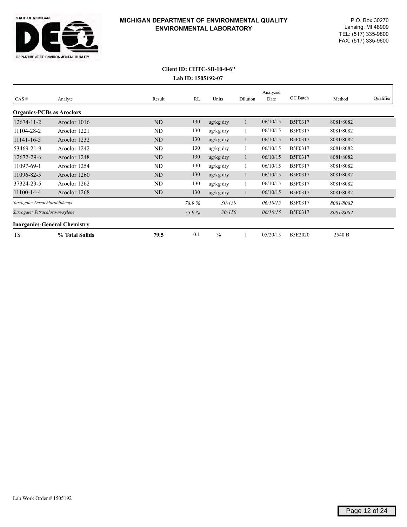

# **Lab ID: 1505192-07 Client ID: CHTC-SB-10-0-6''**

| CAS#                                | Analyte        | Result         | RL    | Units                 | Dilution | Analyzed<br>Date | OC Batch       | Method    | Qualifier |
|-------------------------------------|----------------|----------------|-------|-----------------------|----------|------------------|----------------|-----------|-----------|
| <b>Organics-PCBs as Aroclors</b>    |                |                |       |                       |          |                  |                |           |           |
| $12674 - 11 - 2$                    | Aroclor 1016   | ND             | 130   | ug/kg dry             |          | 06/10/15         | B5F0317        | 8081/8082 |           |
| 11104-28-2                          | Aroclor 1221   | ND             | 130   | ug/kg dry             |          | 06/10/15         | <b>B5F0317</b> | 8081/8082 |           |
| 11141-16-5                          | Aroclor 1232   | <b>ND</b>      | 130   | ug/kg dry             |          | 06/10/15         | <b>B5F0317</b> | 8081/8082 |           |
| 53469-21-9                          | Aroclor 1242   | ND             | 130   | ug/kg dry             |          | 06/10/15         | B5F0317        | 8081/8082 |           |
| 12672-29-6                          | Aroclor 1248   | N <sub>D</sub> | 130   | ug/kg dry             |          | 06/10/15         | B5F0317        | 8081/8082 |           |
| 11097-69-1                          | Aroclor 1254   | ND             | 130   | ug/kg dry             |          | 06/10/15         | B5F0317        | 8081/8082 |           |
| 11096-82-5                          | Aroclor 1260   | N <sub>D</sub> | 130   | $\frac{u g}{k g}$ dry | -1       | 06/10/15         | <b>B5F0317</b> | 8081/8082 |           |
| 37324-23-5                          | Aroclor 1262   | ND             | 130   | ug/kg dry             |          | 06/10/15         | B5F0317        | 8081/8082 |           |
| 11100-14-4                          | Aroclor 1268   | ND             | 130   | ug/kg dry             |          | 06/10/15         | <b>B5F0317</b> | 8081/8082 |           |
| Surrogate: Decachlorobiphenyl       |                |                | 78.9% | $30 - 150$            |          | 06/10/15         | B5F0317        | 8081/8082 |           |
| Surrogate: Tetrachloro-m-xylene     |                |                | 75.9% | $30 - 150$            |          | 06/10/15         | <b>B5F0317</b> | 8081/8082 |           |
| <b>Inorganics-General Chemistry</b> |                |                |       |                       |          |                  |                |           |           |
| <b>TS</b>                           | % Total Solids | 79.5           | 0.1   | $\frac{0}{0}$         |          | 05/20/15         | <b>B5E2020</b> | 2540 B    |           |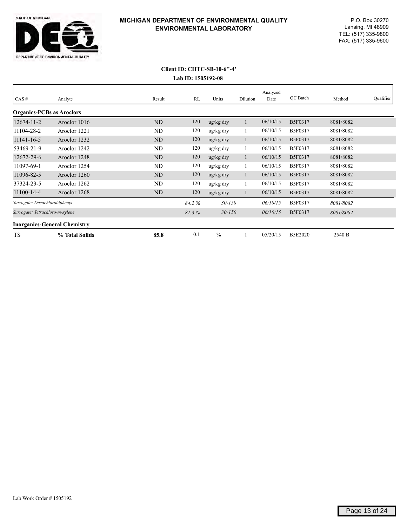

| CAS#                                | Analyte        | Result         | RL    | Units                 | Dilution | Analyzed<br>Date | OC Batch       | Method    | Qualifier |
|-------------------------------------|----------------|----------------|-------|-----------------------|----------|------------------|----------------|-----------|-----------|
| <b>Organics-PCBs as Aroclors</b>    |                |                |       |                       |          |                  |                |           |           |
| $12674 - 11 - 2$                    | Aroclor 1016   | ND             | 120   | $\frac{u g}{k g}$ dry |          | 06/10/15         | B5F0317        | 8081/8082 |           |
| 11104-28-2                          | Aroclor 1221   | ND             | 120   | ug/kg dry             |          | 06/10/15         | <b>B5F0317</b> | 8081/8082 |           |
| 11141-16-5                          | Aroclor 1232   | ND             | 120   | $\frac{u g}{k g}$ dry |          | 06/10/15         | B5F0317        | 8081/8082 |           |
| 53469-21-9                          | Aroclor 1242   | ND             | 120   | ug/kg dry             |          | 06/10/15         | <b>B5F0317</b> | 8081/8082 |           |
| 12672-29-6                          | Aroclor 1248   | ND             | 120   | $\frac{u g}{k g}$ dry |          | 06/10/15         | <b>B5F0317</b> | 8081/8082 |           |
| 11097-69-1                          | Aroclor 1254   | ND             | 120   | ug/kg dry             |          | 06/10/15         | B5F0317        | 8081/8082 |           |
| 11096-82-5                          | Aroclor 1260   | ND             | 120   | $\frac{u g}{k g}$ dry | -1       | 06/10/15         | <b>B5F0317</b> | 8081/8082 |           |
| 37324-23-5                          | Aroclor 1262   | ND             | 120   | ug/kg dry             |          | 06/10/15         | B5F0317        | 8081/8082 |           |
| 11100-14-4                          | Aroclor 1268   | N <sub>D</sub> | 120   | $\frac{u g}{k g}$ dry |          | 06/10/15         | B5F0317        | 8081/8082 |           |
| Surrogate: Decachlorobiphenyl       |                |                | 84.2% | $30 - 150$            |          | 06/10/15         | <b>B5F0317</b> | 8081/8082 |           |
| Surrogate: Tetrachloro-m-xylene     |                |                | 81.3% | $30 - 150$            |          | 06/10/15         | B5F0317        | 8081/8082 |           |
| <b>Inorganics-General Chemistry</b> |                |                |       |                       |          |                  |                |           |           |
| <b>TS</b>                           | % Total Solids | 85.8           | 0.1   | $\frac{0}{0}$         |          | 05/20/15         | <b>B5E2020</b> | 2540 B    |           |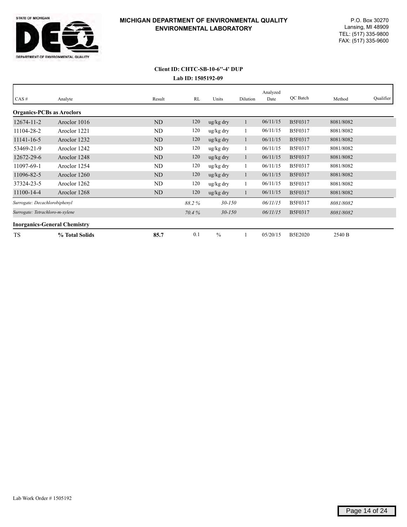

#### **Lab ID: 1505192-09 Client ID: CHTC-SB-10-6''-4' DUP**

|                                     |                |        |       |                       |          | Analyzed | OC Batch       |           | Qualifier |
|-------------------------------------|----------------|--------|-------|-----------------------|----------|----------|----------------|-----------|-----------|
| $CAS \#$                            | Analyte        | Result | RL    | Units                 | Dilution | Date     |                | Method    |           |
| <b>Organics-PCBs as Aroclors</b>    |                |        |       |                       |          |          |                |           |           |
| $12674 - 11 - 2$                    | Aroclor 1016   | ND     | 120   | $\frac{u g}{k g}$ dry |          | 06/11/15 | B5F0317        | 8081/8082 |           |
| 11104-28-2                          | Aroclor 1221   | ND     | 120   | ug/kg dry             |          | 06/11/15 | <b>B5F0317</b> | 8081/8082 |           |
| 11141-16-5                          | Aroclor 1232   | ND     | 120   | $\frac{u g}{k g}$ dry |          | 06/11/15 | B5F0317        | 8081/8082 |           |
| 53469-21-9                          | Aroclor 1242   | ND     | 120   | ug/kg dry             |          | 06/11/15 | B5F0317        | 8081/8082 |           |
| 12672-29-6                          | Aroclor 1248   | ND     | 120   | ug/kg dry             | п        | 06/11/15 | B5F0317        | 8081/8082 |           |
| 11097-69-1                          | Aroclor 1254   | ND     | 120   | ug/kg dry             |          | 06/11/15 | B5F0317        | 8081/8082 |           |
| 11096-82-5                          | Aroclor 1260   | ND     | 120   | $\frac{u g}{k g}$ dry |          | 06/11/15 | <b>B5F0317</b> | 8081/8082 |           |
| 37324-23-5                          | Aroclor 1262   | ND     | 120   | ug/kg dry             |          | 06/11/15 | <b>B5F0317</b> | 8081/8082 |           |
| 11100-14-4                          | Aroclor 1268   | ND     | 120   | $\frac{u g}{k g}$ dry |          | 06/11/15 | B5F0317        | 8081/8082 |           |
| Surrogate: Decachlorobiphenyl       |                |        | 88.2% | $30 - 150$            |          | 06/11/15 | B5F0317        | 8081/8082 |           |
| Surrogate: Tetrachloro-m-xylene     |                |        | 70.4% | $30 - 150$            |          | 06/11/15 | B5F0317        | 8081/8082 |           |
| <b>Inorganics-General Chemistry</b> |                |        |       |                       |          |          |                |           |           |
| <b>TS</b>                           | % Total Solids | 85.7   | 0.1   | $\frac{0}{0}$         |          | 05/20/15 | <b>B5E2020</b> | 2540 B    |           |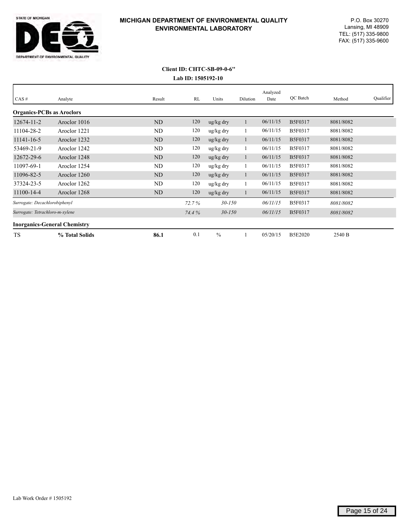

# **Lab ID: 1505192-10 Client ID: CHTC-SB-09-0-6''**

| CAS#                                | Analyte        | Result | RL    | Units                 | Dilution | Analyzed<br>Date | QC Batch       | Method    | Qualifier |
|-------------------------------------|----------------|--------|-------|-----------------------|----------|------------------|----------------|-----------|-----------|
| <b>Organics-PCBs as Aroclors</b>    |                |        |       |                       |          |                  |                |           |           |
| $12674 - 11 - 2$                    | Aroclor 1016   | ND     | 120   | $\frac{u g}{k g}$ dry |          | 06/11/15         | <b>B5F0317</b> | 8081/8082 |           |
| 11104-28-2                          | Aroclor 1221   | ND     | 120   | ug/kg dry             | 1        | 06/11/15         | <b>B5F0317</b> | 8081/8082 |           |
| 11141-16-5                          | Aroclor 1232   | ND     | 120   | $\frac{u g}{k g}$ dry |          | 06/11/15         | B5F0317        | 8081/8082 |           |
| 53469-21-9                          | Aroclor 1242   | ND     | 120   | ug/kg dry             |          | 06/11/15         | B5F0317        | 8081/8082 |           |
| 12672-29-6                          | Aroclor 1248   | ND     | 120   | $\frac{u g}{k g}$ dry |          | 06/11/15         | <b>B5F0317</b> | 8081/8082 |           |
| 11097-69-1                          | Aroclor 1254   | ND     | 120   | ug/kg dry             |          | 06/11/15         | B5F0317        | 8081/8082 |           |
| 11096-82-5                          | Aroclor 1260   | ND     | 120   | $\frac{u g}{k g}$ dry |          | 06/11/15         | <b>B5F0317</b> | 8081/8082 |           |
| 37324-23-5                          | Aroclor 1262   | ND     | 120   | ug/kg dry             |          | 06/11/15         | B5F0317        | 8081/8082 |           |
| 11100-14-4                          | Aroclor 1268   | ND     | 120   | $\frac{u g}{k g}$ dry |          | 06/11/15         | <b>B5F0317</b> | 8081/8082 |           |
| Surrogate: Decachlorobiphenyl       |                |        | 72.7% | $30 - 150$            |          | 06/11/15         | B5F0317        | 8081/8082 |           |
| Surrogate: Tetrachloro-m-xylene     |                |        | 74.4% | $30 - 150$            |          | 06/11/15         | <b>B5F0317</b> | 8081/8082 |           |
| <b>Inorganics-General Chemistry</b> |                |        |       |                       |          |                  |                |           |           |
| TS                                  | % Total Solids | 86.1   | 0.1   | $\%$                  |          | 05/20/15         | <b>B5E2020</b> | 2540 B    |           |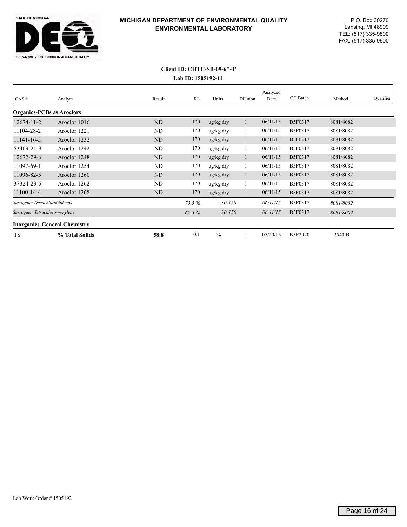

# **Lab ID: 1505192-11 Client ID: CHTC-SB-09-6''-4'**

| CAS#                                | Analyte        | Result         | RL    | Units                 | Dilution | Analyzed<br>Date | OC Batch       | Method    | Qualifier |
|-------------------------------------|----------------|----------------|-------|-----------------------|----------|------------------|----------------|-----------|-----------|
| <b>Organics-PCBs as Aroclors</b>    |                |                |       |                       |          |                  |                |           |           |
| $12674 - 11 - 2$                    | Aroclor 1016   | ND             | 170   | $\frac{u g}{k g}$ dry |          | 06/11/15         | B5F0317        | 8081/8082 |           |
| 11104-28-2                          | Aroclor 1221   | ND             | 170   | ug/kg dry             |          | 06/11/15         | <b>B5F0317</b> | 8081/8082 |           |
| 11141-16-5                          | Aroclor 1232   | ND             | 170   | $\frac{u g}{k g}$ dry |          | 06/11/15         | B5F0317        | 8081/8082 |           |
| 53469-21-9                          | Aroclor 1242   | ND             | 170   | ug/kg dry             |          | 06/11/15         | <b>B5F0317</b> | 8081/8082 |           |
| 12672-29-6                          | Aroclor 1248   | ND             | 170   | $\frac{u g}{k g}$ dry |          | 06/11/15         | <b>B5F0317</b> | 8081/8082 |           |
| 11097-69-1                          | Aroclor 1254   | ND             | 170   | ug/kg dry             |          | 06/11/15         | B5F0317        | 8081/8082 |           |
| 11096-82-5                          | Aroclor 1260   | ND             | 170   | $\frac{u g}{k g}$ dry | -1       | 06/11/15         | <b>B5F0317</b> | 8081/8082 |           |
| 37324-23-5                          | Aroclor 1262   | ND             | 170   | ug/kg dry             |          | 06/11/15         | B5F0317        | 8081/8082 |           |
| 11100-14-4                          | Aroclor 1268   | N <sub>D</sub> | 170   | $\frac{u g}{k g}$ dry |          | 06/11/15         | B5F0317        | 8081/8082 |           |
| Surrogate: Decachlorobiphenyl       |                |                | 73.5% | $30 - 150$            |          | 06/11/15         | B5F0317        | 8081/8082 |           |
| Surrogate: Tetrachloro-m-xylene     |                |                | 67.5% | $30 - 150$            |          | 06/11/15         | B5F0317        | 8081/8082 |           |
| <b>Inorganics-General Chemistry</b> |                |                |       |                       |          |                  |                |           |           |
| <b>TS</b>                           | % Total Solids | 58.8           | 0.1   | $\frac{0}{0}$         |          | 05/20/15         | <b>B5E2020</b> | 2540 B    |           |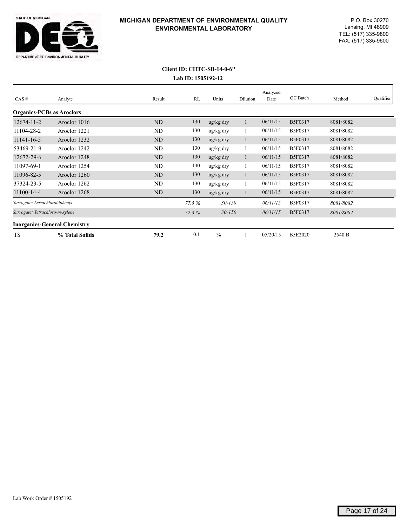

# **Lab ID: 1505192-12 Client ID: CHTC-SB-14-0-6''**

| CAS#                                | Analyte        | Result    | RL    | Units                 | Dilution | Analyzed<br>Date | OC Batch       | Method    | Qualifier |
|-------------------------------------|----------------|-----------|-------|-----------------------|----------|------------------|----------------|-----------|-----------|
| <b>Organics-PCBs as Aroclors</b>    |                |           |       |                       |          |                  |                |           |           |
| 12674-11-2                          | Aroclor 1016   | ND        | 130   | ug/kg dry             |          | 06/11/15         | <b>B5F0317</b> | 8081/8082 |           |
| 11104-28-2                          | Aroclor 1221   | ND        | 130   | ug/kg dry             |          | 06/11/15         | <b>B5F0317</b> | 8081/8082 |           |
| 11141-16-5                          | Aroclor 1232   | ND        | 130   | ug/kg dry             | -1       | 06/11/15         | B5F0317        | 8081/8082 |           |
| 53469-21-9                          | Aroclor 1242   | ND        | 130   | ug/kg dry             |          | 06/11/15         | B5F0317        | 8081/8082 |           |
| 12672-29-6                          | Aroclor 1248   | ND        | 130   | ug/kg dry             |          | 06/11/15         | <b>B5F0317</b> | 8081/8082 |           |
| 11097-69-1                          | Aroclor 1254   | ND        | 130   | ug/kg dry             |          | 06/11/15         | <b>B5F0317</b> | 8081/8082 |           |
| 11096-82-5                          | Aroclor 1260   | <b>ND</b> | 130   | $\frac{u g}{k g}$ dry | l.       | 06/11/15         | <b>B5F0317</b> | 8081/8082 |           |
| 37324-23-5                          | Aroclor 1262   | <b>ND</b> | 130   | ug/kg dry             |          | 06/11/15         | <b>B5F0317</b> | 8081/8082 |           |
| 11100-14-4                          | Aroclor 1268   | ND        | 130   | ug/kg dry             |          | 06/11/15         | B5F0317        | 8081/8082 |           |
| Surrogate: Decachlorobiphenyl       |                |           | 77.5% | $30 - 150$            |          | 06/11/15         | <b>B5F0317</b> | 8081/8082 |           |
| Surrogate: Tetrachloro-m-xylene     |                |           | 72.3% | $30 - 150$            |          | 06/11/15         | <b>B5F0317</b> | 8081/8082 |           |
| <b>Inorganics-General Chemistry</b> |                |           |       |                       |          |                  |                |           |           |
| TS                                  | % Total Solids | 79.2      | 0.1   | $\frac{0}{0}$         |          | 05/20/15         | <b>B5E2020</b> | 2540 B    |           |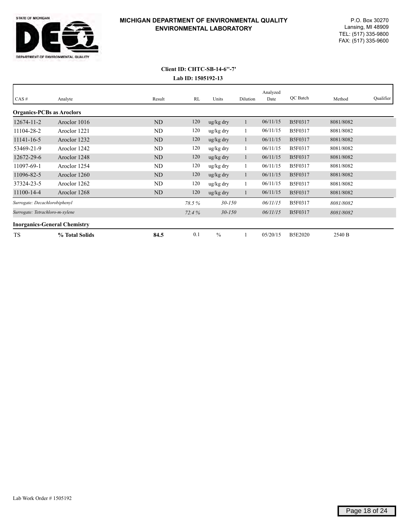

#### **Lab ID: 1505192-13 Client ID: CHTC-SB-14-6''-7'**

| $CAS \#$                            | Analyte        | Result         | RL    | Units                 | Dilution | Analyzed<br>Date | OC Batch       | Method    | Qualifier |
|-------------------------------------|----------------|----------------|-------|-----------------------|----------|------------------|----------------|-----------|-----------|
| <b>Organics-PCBs as Aroclors</b>    |                |                |       |                       |          |                  |                |           |           |
| $12674 - 11 - 2$                    | Aroclor 1016   | ND             | 120   | $\frac{u g}{k g}$ dry |          | 06/11/15         | B5F0317        | 8081/8082 |           |
| 11104-28-2                          | Aroclor 1221   | ND             | 120   | ug/kg dry             |          | 06/11/15         | B5F0317        | 8081/8082 |           |
| 11141-16-5                          | Aroclor 1232   | ND             | 120   | $\frac{u g}{k g}$ dry |          | 06/11/15         | <b>B5F0317</b> | 8081/8082 |           |
| 53469-21-9                          | Aroclor 1242   | ND             | 120   | ug/kg dry             |          | 06/11/15         | <b>B5F0317</b> | 8081/8082 |           |
| 12672-29-6                          | Aroclor 1248   | ND             | 120   | $\frac{u g}{k g}$ dry |          | 06/11/15         | <b>B5F0317</b> | 8081/8082 |           |
| 11097-69-1                          | Aroclor 1254   | ND             | 120   | ug/kg dry             |          | 06/11/15         | <b>B5F0317</b> | 8081/8082 |           |
| 11096-82-5                          | Aroclor 1260   | N <sub>D</sub> | 120   | $\frac{u g}{k g}$ dry |          | 06/11/15         | <b>B5F0317</b> | 8081/8082 |           |
| 37324-23-5                          | Aroclor 1262   | ND             | 120   | ug/kg dry             |          | 06/11/15         | B5F0317        | 8081/8082 |           |
| 11100-14-4                          | Aroclor 1268   | ND             | 120   | $\frac{u g}{k g}$ dry |          | 06/11/15         | B5F0317        | 8081/8082 |           |
| Surrogate: Decachlorobiphenyl       |                |                | 78.5% | $30 - 150$            |          | 06/11/15         | B5F0317        | 8081/8082 |           |
| Surrogate: Tetrachloro-m-xylene     |                |                | 72.4% | $30 - 150$            |          | 06/11/15         | <b>B5F0317</b> | 8081/8082 |           |
| <b>Inorganics-General Chemistry</b> |                |                |       |                       |          |                  |                |           |           |
| TS                                  | % Total Solids | 84.5           | 0.1   | $\%$                  |          | 05/20/15         | <b>B5E2020</b> | 2540 B    |           |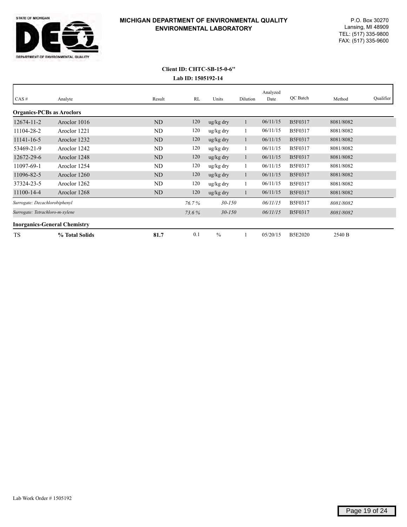

# **Lab ID: 1505192-14 Client ID: CHTC-SB-15-0-6''**

| CAS#                                | Analyte        | Result    | RL    | Units                 | Dilution | Analyzed<br>Date | OC Batch       | Method    | Qualifier |
|-------------------------------------|----------------|-----------|-------|-----------------------|----------|------------------|----------------|-----------|-----------|
| <b>Organics-PCBs as Aroclors</b>    |                |           |       |                       |          |                  |                |           |           |
| 12674-11-2                          | Aroclor 1016   | ND        | 120   | $\frac{u g}{k g}$ dry |          | 06/11/15         | B5F0317        | 8081/8082 |           |
| 11104-28-2                          | Aroclor 1221   | ND        | 120   | ug/kg dry             |          | 06/11/15         | B5F0317        | 8081/8082 |           |
| 11141-16-5                          | Aroclor 1232   | ND        | 120   | $\frac{u g}{k g}$ dry |          | 06/11/15         | B5F0317        | 8081/8082 |           |
| 53469-21-9                          | Aroclor 1242   | ND        | 120   | ug/kg dry             |          | 06/11/15         | B5F0317        | 8081/8082 |           |
| 12672-29-6                          | Aroclor 1248   | <b>ND</b> | 120   | $\frac{u g}{k g}$ dry |          | 06/11/15         | B5F0317        | 8081/8082 |           |
| 11097-69-1                          | Aroclor 1254   | ND        | 120   | ug/kg dry             |          | 06/11/15         | B5F0317        | 8081/8082 |           |
| 11096-82-5                          | Aroclor 1260   | ND        | 120   | $\frac{u g}{k g}$ dry |          | 06/11/15         | B5F0317        | 8081/8082 |           |
| 37324-23-5                          | Aroclor 1262   | ND        | 120   | ug/kg dry             |          | 06/11/15         | B5F0317        | 8081/8082 |           |
| 11100-14-4                          | Aroclor 1268   | ND        | 120   | $\frac{u g}{k g}$ dry |          | 06/11/15         | B5F0317        | 8081/8082 |           |
| Surrogate: Decachlorobiphenyl       |                |           | 76.7% | $30 - 150$            |          | 06/11/15         | B5F0317        | 8081/8082 |           |
| Surrogate: Tetrachloro-m-xylene     |                |           | 73.6% | $30 - 150$            |          | 06/11/15         | B5F0317        | 8081/8082 |           |
| <b>Inorganics-General Chemistry</b> |                |           |       |                       |          |                  |                |           |           |
| TS                                  | % Total Solids | 81.7      | 0.1   | $\%$                  |          | 05/20/15         | <b>B5E2020</b> | 2540 B    |           |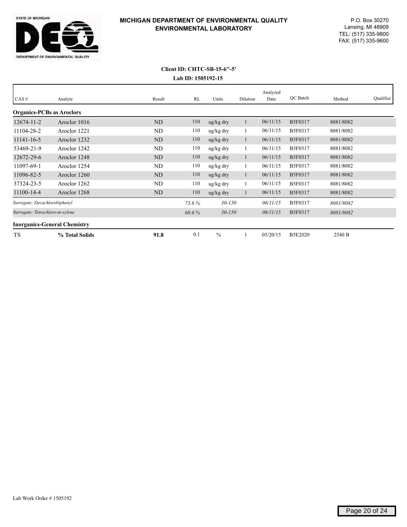

# **Lab ID: 1505192-15 Client ID: CHTC-SB-15-6''-5'**

| CAS#                                | Analyte        | Result | RL    | Units                 | Dilution | Analyzed<br>Date | QC Batch       | Method    | Qualifier |
|-------------------------------------|----------------|--------|-------|-----------------------|----------|------------------|----------------|-----------|-----------|
| <b>Organics-PCBs as Aroclors</b>    |                |        |       |                       |          |                  |                |           |           |
| $12674 - 11 - 2$                    | Aroclor 1016   | ND     | 110   | $\frac{u g}{k g}$ dry |          | 06/11/15         | <b>B5F0317</b> | 8081/8082 |           |
| 11104-28-2                          | Aroclor 1221   | ND     | 110   | ug/kg dry             |          | 06/11/15         | B5F0317        | 8081/8082 |           |
| 11141-16-5                          | Aroclor 1232   | ND     | 110   | $\frac{u g}{k g}$ dry |          | 06/11/15         | <b>B5F0317</b> | 8081/8082 |           |
| 53469-21-9                          | Aroclor 1242   | ND     | 110   | ug/kg dry             |          | 06/11/15         | B5F0317        | 8081/8082 |           |
| 12672-29-6                          | Aroclor 1248   | ND     | 110   | $\frac{u g}{k g}$ dry |          | 06/11/15         | B5F0317        | 8081/8082 |           |
| 11097-69-1                          | Aroclor 1254   | ND     | 110   | ug/kg dry             |          | 06/11/15         | B5F0317        | 8081/8082 |           |
| 11096-82-5                          | Aroclor 1260   | ND     | 110   | $\frac{u g}{k g}$ dry |          | 06/11/15         | <b>B5F0317</b> | 8081/8082 |           |
| 37324-23-5                          | Aroclor 1262   | ND     | 110   | ug/kg dry             |          | 06/11/15         | B5F0317        | 8081/8082 |           |
| 11100-14-4                          | Aroclor 1268   | ND     | 110   | $\frac{u g}{k g}$ dry |          | 06/11/15         | B5F0317        | 8081/8082 |           |
| Surrogate: Decachlorobiphenyl       |                |        | 73.6% | $30 - 150$            |          | 06/11/15         | B5F0317        | 8081/8082 |           |
| Surrogate: Tetrachloro-m-xylene     |                |        | 68.6% | $30 - 150$            |          | 06/11/15         | <b>B5F0317</b> | 8081/8082 |           |
| <b>Inorganics-General Chemistry</b> |                |        |       |                       |          |                  |                |           |           |
| TS                                  | % Total Solids | 91.8   | 0.1   | $\%$                  |          | 05/20/15         | <b>B5E2020</b> | 2540 B    |           |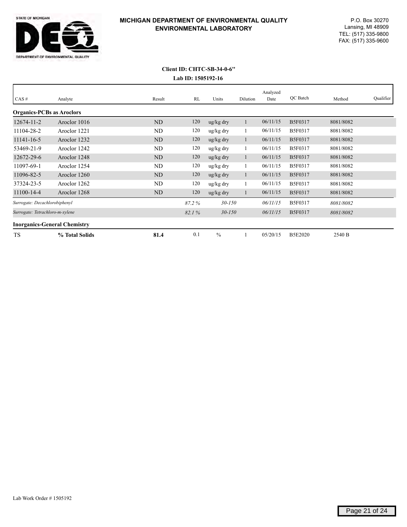

# **Lab ID: 1505192-16 Client ID: CHTC-SB-34-0-6''**

| CAS#                                | Analyte        | Result    | RL    | Units                 | Dilution | Analyzed<br>Date | OC Batch       | Method    | Qualifier |
|-------------------------------------|----------------|-----------|-------|-----------------------|----------|------------------|----------------|-----------|-----------|
| <b>Organics-PCBs as Aroclors</b>    |                |           |       |                       |          |                  |                |           |           |
| 12674-11-2                          | Aroclor 1016   | ND        | 120   | ug/kg dry             |          | 06/11/15         | <b>B5F0317</b> | 8081/8082 |           |
| 11104-28-2                          | Aroclor 1221   | ND        | 120   | ug/kg dry             |          | 06/11/15         | <b>B5F0317</b> | 8081/8082 |           |
| 11141-16-5                          | Aroclor 1232   | ND        | 120   | ug/kg dry             | -1       | 06/11/15         | B5F0317        | 8081/8082 |           |
| 53469-21-9                          | Aroclor 1242   | ND        | 120   | ug/kg dry             |          | 06/11/15         | B5F0317        | 8081/8082 |           |
| 12672-29-6                          | Aroclor 1248   | ND        | 120   | ug/kg dry             |          | 06/11/15         | <b>B5F0317</b> | 8081/8082 |           |
| 11097-69-1                          | Aroclor 1254   | ND        | 120   | ug/kg dry             |          | 06/11/15         | <b>B5F0317</b> | 8081/8082 |           |
| 11096-82-5                          | Aroclor 1260   | <b>ND</b> | 120   | $\frac{u g}{k g}$ dry | l.       | 06/11/15         | <b>B5F0317</b> | 8081/8082 |           |
| 37324-23-5                          | Aroclor 1262   | <b>ND</b> | 120   | ug/kg dry             |          | 06/11/15         | <b>B5F0317</b> | 8081/8082 |           |
| 11100-14-4                          | Aroclor 1268   | ND        | 120   | ug/kg dry             |          | 06/11/15         | B5F0317        | 8081/8082 |           |
| Surrogate: Decachlorobiphenyl       |                |           | 87.2% | $30 - 150$            |          | 06/11/15         | <b>B5F0317</b> | 8081/8082 |           |
| Surrogate: Tetrachloro-m-xylene     |                |           | 82.1% | $30 - 150$            |          | 06/11/15         | <b>B5F0317</b> | 8081/8082 |           |
| <b>Inorganics-General Chemistry</b> |                |           |       |                       |          |                  |                |           |           |
| TS                                  | % Total Solids | 81.4      | 0.1   | $\frac{0}{0}$         |          | 05/20/15         | <b>B5E2020</b> | 2540 B    |           |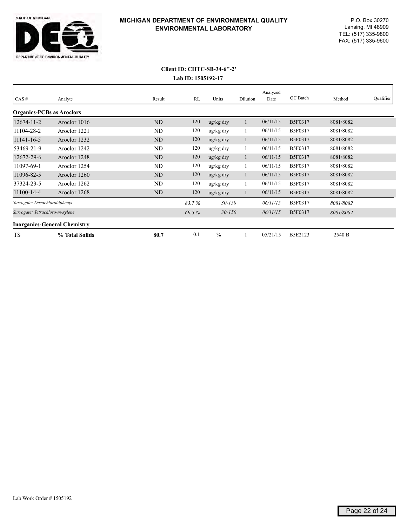

# **Lab ID: 1505192-17 Client ID: CHTC-SB-34-6''-2'**

| CAS#                                | Analyte        | Result | RL    | Units                 | Dilution | Analyzed<br>Date | OC Batch       | Method    | Qualifier |
|-------------------------------------|----------------|--------|-------|-----------------------|----------|------------------|----------------|-----------|-----------|
| <b>Organics-PCBs as Aroclors</b>    |                |        |       |                       |          |                  |                |           |           |
| $12674 - 11 - 2$                    | Aroclor 1016   | ND     | 120   | $\frac{u g}{k g}$ dry |          | 06/11/15         | B5F0317        | 8081/8082 |           |
| 11104-28-2                          | Aroclor 1221   | ND     | 120   | ug/kg dry             |          | 06/11/15         | B5F0317        | 8081/8082 |           |
| 11141-16-5                          | Aroclor 1232   | ND     | 120   | $\frac{u g}{k g}$ dry |          | 06/11/15         | B5F0317        | 8081/8082 |           |
| 53469-21-9                          | Aroclor 1242   | ND     | 120   | ug/kg dry             |          | 06/11/15         | B5F0317        | 8081/8082 |           |
| 12672-29-6                          | Aroclor 1248   | ND     | 120   | $\frac{u g}{k g}$ dry |          | 06/11/15         | <b>B5F0317</b> | 8081/8082 |           |
| 11097-69-1                          | Aroclor 1254   | ND     | 120   | ug/kg dry             |          | 06/11/15         | B5F0317        | 8081/8082 |           |
| 11096-82-5                          | Aroclor 1260   | ND     | 120   | $\frac{u g}{k g}$ dry | 1        | 06/11/15         | <b>B5F0317</b> | 8081/8082 |           |
| 37324-23-5                          | Aroclor 1262   | ND     | 120   | ug/kg dry             |          | 06/11/15         | B5F0317        | 8081/8082 |           |
| 11100-14-4                          | Aroclor 1268   | ND     | 120   | $\frac{u g}{k g}$ dry |          | 06/11/15         | <b>B5F0317</b> | 8081/8082 |           |
| Surrogate: Decachlorobiphenyl       |                |        | 83.7% | $30 - 150$            |          | 06/11/15         | B5F0317        | 8081/8082 |           |
| Surrogate: Tetrachloro-m-xylene     |                |        | 69.5% | $30 - 150$            |          | 06/11/15         | <b>B5F0317</b> | 8081/8082 |           |
| <b>Inorganics-General Chemistry</b> |                |        |       |                       |          |                  |                |           |           |
| <b>TS</b>                           | % Total Solids | 80.7   | 0.1   | $\frac{0}{0}$         |          | 05/21/15         | <b>B5E2123</b> | 2540 B    |           |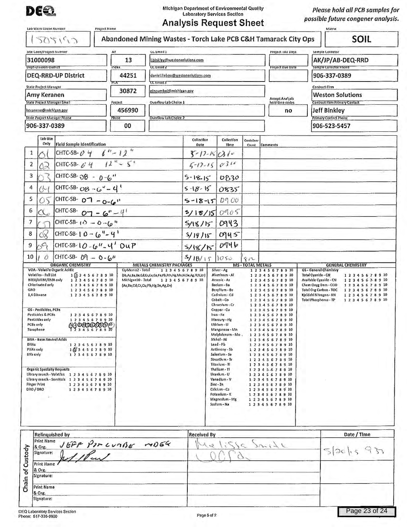

Michigan Department of Environmental Quality Laboratory Services Section

Analysis Request Sheet

*Please hold all PCB samples for possible f uture congener analysis.* 

| Site Lode/Project Number                                                                                                                                                                                            |                                                                                                                                                                                                                                                                                                         | AT              | CC Email 1                                      |                    |                                                                                                                                                                                                                                                                                                                                                                           |            | Project IAI Days                                                                                                                                                                                                                                                                                                                                                                  | Sample Collector                                                              |
|---------------------------------------------------------------------------------------------------------------------------------------------------------------------------------------------------------------------|---------------------------------------------------------------------------------------------------------------------------------------------------------------------------------------------------------------------------------------------------------------------------------------------------------|-----------------|-------------------------------------------------|--------------------|---------------------------------------------------------------------------------------------------------------------------------------------------------------------------------------------------------------------------------------------------------------------------------------------------------------------------------------------------------------------------|------------|-----------------------------------------------------------------------------------------------------------------------------------------------------------------------------------------------------------------------------------------------------------------------------------------------------------------------------------------------------------------------------------|-------------------------------------------------------------------------------|
| 31000098                                                                                                                                                                                                            |                                                                                                                                                                                                                                                                                                         | 13              | .binkley@westonsolutions.com                    |                    |                                                                                                                                                                                                                                                                                                                                                                           |            |                                                                                                                                                                                                                                                                                                                                                                                   | AK/JP/AB-DEQ-RRD                                                              |
| Dept-Unision-District                                                                                                                                                                                               | DEQ-RRD-UP District                                                                                                                                                                                                                                                                                     | index<br>44251  | CC Email Z<br>daniel.liebau@westonsolutions.com |                    |                                                                                                                                                                                                                                                                                                                                                                           |            | Project Due Date                                                                                                                                                                                                                                                                                                                                                                  | Sample Collector Phone<br>906-337-0389                                        |
|                                                                                                                                                                                                                     |                                                                                                                                                                                                                                                                                                         | PLA             | <b>CCEmail 3</b>                                |                    |                                                                                                                                                                                                                                                                                                                                                                           |            |                                                                                                                                                                                                                                                                                                                                                                                   |                                                                               |
| State Project Manager<br>Amy Keranen                                                                                                                                                                                |                                                                                                                                                                                                                                                                                                         | 30872           | pincumbel@mlchlgan.gov                          |                    |                                                                                                                                                                                                                                                                                                                                                                           |            |                                                                                                                                                                                                                                                                                                                                                                                   | Contract Firm<br><b>Weston Solutions</b>                                      |
|                                                                                                                                                                                                                     | State Project Manager Email                                                                                                                                                                                                                                                                             | Project         | Overflow Lab Choice 1                           |                    |                                                                                                                                                                                                                                                                                                                                                                           |            | Accept Analysis<br>hold time codes                                                                                                                                                                                                                                                                                                                                                | <b>Contract Firm Primary Contact</b>                                          |
| keranena@michigan.gov                                                                                                                                                                                               | State Project Manager Phone                                                                                                                                                                                                                                                                             | 456990<br>Phase | Overflow Lab Choice 2                           |                    |                                                                                                                                                                                                                                                                                                                                                                           |            | no                                                                                                                                                                                                                                                                                                                                                                                | <b>Jeff Binkley</b><br>Primary Contact Phone                                  |
| 906-337-0389                                                                                                                                                                                                        |                                                                                                                                                                                                                                                                                                         | 00              |                                                 |                    |                                                                                                                                                                                                                                                                                                                                                                           |            |                                                                                                                                                                                                                                                                                                                                                                                   | 906-523-5457                                                                  |
| Lab Use                                                                                                                                                                                                             |                                                                                                                                                                                                                                                                                                         |                 |                                                 | Collection         | Collection                                                                                                                                                                                                                                                                                                                                                                | Container  |                                                                                                                                                                                                                                                                                                                                                                                   |                                                                               |
| Only<br>1                                                                                                                                                                                                           | Field Sample Identification<br>CHTC-SB- $0.4$ $1.2$                                                                                                                                                                                                                                                     |                 |                                                 | Date               | Time<br>$3 - 17 - 150$                                                                                                                                                                                                                                                                                                                                                    | Count      | Comments                                                                                                                                                                                                                                                                                                                                                                          |                                                                               |
| $\overline{2}$                                                                                                                                                                                                      | CHTC-SB- 6' 4' $12^{11} - 5$                                                                                                                                                                                                                                                                            |                 |                                                 | $5 - 17 - 15$      | 0311                                                                                                                                                                                                                                                                                                                                                                      |            |                                                                                                                                                                                                                                                                                                                                                                                   |                                                                               |
| 3                                                                                                                                                                                                                   | CHTC-SB- $O8 - 0.6$ "                                                                                                                                                                                                                                                                                   |                 |                                                 | $5 - 18 - 15$      |                                                                                                                                                                                                                                                                                                                                                                           |            |                                                                                                                                                                                                                                                                                                                                                                                   |                                                                               |
| 4<br>Q                                                                                                                                                                                                              | CHTC-SB-08 - 6 <sup>4</sup> - 4 <sup>1</sup>                                                                                                                                                                                                                                                            |                 |                                                 | $5 - 18 - 15$      | 0830                                                                                                                                                                                                                                                                                                                                                                      |            |                                                                                                                                                                                                                                                                                                                                                                                   |                                                                               |
| 5                                                                                                                                                                                                                   | CHTC-SB- $O - O - G$                                                                                                                                                                                                                                                                                    |                 |                                                 |                    | 0835                                                                                                                                                                                                                                                                                                                                                                      |            |                                                                                                                                                                                                                                                                                                                                                                                   |                                                                               |
| OŚ<br>6                                                                                                                                                                                                             |                                                                                                                                                                                                                                                                                                         |                 |                                                 | $5 - 18 - 15$      | 0900                                                                                                                                                                                                                                                                                                                                                                      |            |                                                                                                                                                                                                                                                                                                                                                                                   |                                                                               |
| $\alpha_c$<br>7                                                                                                                                                                                                     | CHTC-SB- $O - -6 - 4$                                                                                                                                                                                                                                                                                   |                 |                                                 |                    | 5/18/150005                                                                                                                                                                                                                                                                                                                                                               |            |                                                                                                                                                                                                                                                                                                                                                                                   |                                                                               |
|                                                                                                                                                                                                                     | CHTC-SB- 10 - 0 - 10 "                                                                                                                                                                                                                                                                                  |                 |                                                 | 5/18/15            | 0943                                                                                                                                                                                                                                                                                                                                                                      |            |                                                                                                                                                                                                                                                                                                                                                                                   |                                                                               |
| 6X<br>8                                                                                                                                                                                                             | CHTC-SB-10 - $6'' - 4'$                                                                                                                                                                                                                                                                                 |                 |                                                 | 5/18/15            | 0945                                                                                                                                                                                                                                                                                                                                                                      |            |                                                                                                                                                                                                                                                                                                                                                                                   |                                                                               |
| 59<br>9<br>10<br>$\overrightarrow{O}$                                                                                                                                                                               | CHTC-SB-10-6"-4' DUP<br>CHTC-SB- $09 - 0 - 6$                                                                                                                                                                                                                                                           |                 |                                                 | 5/18/15            | 0946                                                                                                                                                                                                                                                                                                                                                                      |            |                                                                                                                                                                                                                                                                                                                                                                                   |                                                                               |
| 1,4 Dioxane<br>OS - Pesticides, PCBs<br>Pesticides & PCBs<br>Pesticides only<br>PCBs only<br>Toxaphene<br><b>BNA - Base Neutral Acids</b><br><b>BNAs</b><br>PNAs only<br><b>BNs only</b><br>Finger Print<br>DRO/ORO | 12345678910<br>12345678910<br>12345678910<br>AGOGOOOOOO<br>12345678910<br>12345678910<br>$1$ $2/3$ 4 5 6 7 8 9 10<br>12345678910<br><b>Organic Specialty Requests</b><br>Ubrary search - Volatiles 1 2 3 4 5 6 7 8 9 10<br>Library search - SemiVols 1 2 3 4 5 6 7 8 9 10<br>12345678910<br>12345678910 |                 |                                                 |                    | Cadmlum - Cd<br>Cobalt - Co<br>Chromlum - Cr<br>Copper-Cu<br>Iron-Fe<br>Mercury - Hg<br>Lithium - Li<br>Manganese - Mn<br>Molybdenum - Mo ,<br>Nickel - Ni<br>Lead-Pb<br>Antimony - Sb<br>Selenium - Se<br>Strontium - Sr<br>Titanlum - TI<br>Thallium - TI<br>Uranium - U<br>Vanadlum - V<br>Zinc - Zn<br>Calcium - Ca<br>Potasslum - K<br>Magnesium - Mg<br>Sodium - Na |            | 1 2 3 4 5 6 7 8 9 10<br>12345678910<br>12345678910<br>12345678910<br>1 2 3 4 5 6 7 8 9 10<br>12345678910<br>12345678910<br>12345678910<br>12345678910<br>12345678910<br>12345678910<br>12345678910<br>12345678910<br>12345678910<br>1 2 3 4 5 6 7 8 9 10<br>12345.678910<br>12345678910<br>12345678910<br>12345678910<br>12345678910<br>12345678910<br>12345678910<br>12345678910 | Kjeldahl Nitrogen - KN<br>12345678910<br>Total Phosphorus - TP<br>12345678910 |
| Print Name<br>& Org.<br>Chain of Custody<br>Signature:<br>Print Name<br>& Org.<br>Signature:<br>Print Name                                                                                                          | <b>Relinquished by</b><br>16FF PIRCUMBE MD64                                                                                                                                                                                                                                                            |                 |                                                 | <b>Received By</b> |                                                                                                                                                                                                                                                                                                                                                                           | $\epsilon$ | $121 - 12$                                                                                                                                                                                                                                                                                                                                                                        | Date / Time<br>520h<br>$-137$                                                 |
| & Org.<br>Signature:                                                                                                                                                                                                |                                                                                                                                                                                                                                                                                                         |                 |                                                 |                    |                                                                                                                                                                                                                                                                                                                                                                           |            |                                                                                                                                                                                                                                                                                                                                                                                   | Page 23 of 24                                                                 |